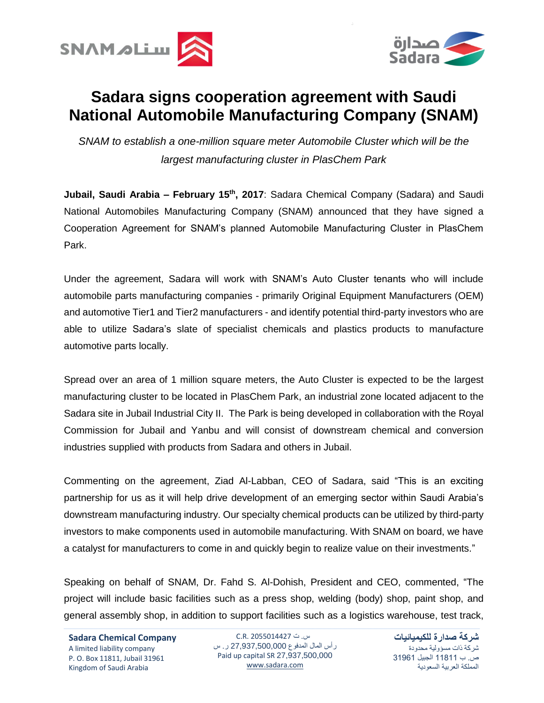



## **Sadara signs cooperation agreement with Saudi National Automobile Manufacturing Company (SNAM)**

*SNAM to establish a one-million square meter Automobile Cluster which will be the largest manufacturing cluster in PlasChem Park*

**Jubail, Saudi Arabia – February 15th , 2017**: Sadara Chemical Company (Sadara) and Saudi National Automobiles Manufacturing Company (SNAM) announced that they have signed a Cooperation Agreement for SNAM's planned Automobile Manufacturing Cluster in PlasChem Park.

Under the agreement, Sadara will work with SNAM's Auto Cluster tenants who will include automobile parts manufacturing companies - primarily Original Equipment Manufacturers (OEM) and automotive Tier1 and Tier2 manufacturers - and identify potential third-party investors who are able to utilize Sadara's slate of specialist chemicals and plastics products to manufacture automotive parts locally.

Spread over an area of 1 million square meters, the Auto Cluster is expected to be the largest manufacturing cluster to be located in PlasChem Park, an industrial zone located adjacent to the Sadara site in Jubail Industrial City II. The Park is being developed in collaboration with the Royal Commission for Jubail and Yanbu and will consist of downstream chemical and conversion industries supplied with products from Sadara and others in Jubail.

Commenting on the agreement, Ziad Al-Labban, CEO of Sadara, said "This is an exciting partnership for us as it will help drive development of an emerging sector within Saudi Arabia's downstream manufacturing industry. Our specialty chemical products can be utilized by third-party investors to make components used in automobile manufacturing. With SNAM on board, we have a catalyst for manufacturers to come in and quickly begin to realize value on their investments."

Speaking on behalf of SNAM, Dr. Fahd S. Al-Dohish, President and CEO, commented, "The project will include basic facilities such as a press shop, welding (body) shop, paint shop, and general assembly shop, in addition to support facilities such as a logistics warehouse, test track,

**Sadara Chemical Company** A limited liability company P. O. Box 11811, Jubail 31961 Kingdom of Saudi Arabia

س. ت C.R. 2055014427 رأس المال المدفوع 27,937,500,000 ر. س Paid up capital SR 27,937,500,000 [www.sadara.com](http://www.sadara.com/)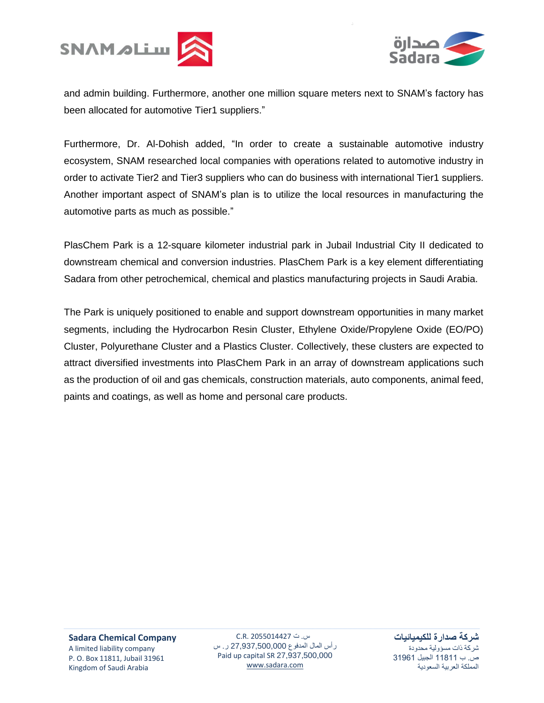



and admin building. Furthermore, another one million square meters next to SNAM's factory has been allocated for automotive Tier1 suppliers."

Furthermore, Dr. Al-Dohish added, "In order to create a sustainable automotive industry ecosystem, SNAM researched local companies with operations related to automotive industry in order to activate Tier2 and Tier3 suppliers who can do business with international Tier1 suppliers. Another important aspect of SNAM's plan is to utilize the local resources in manufacturing the automotive parts as much as possible."

PlasChem Park is a 12-square kilometer industrial park in Jubail Industrial City II dedicated to downstream chemical and conversion industries. PlasChem Park is a key element differentiating Sadara from other petrochemical, chemical and plastics manufacturing projects in Saudi Arabia.

The Park is uniquely positioned to enable and support downstream opportunities in many market segments, including the Hydrocarbon Resin Cluster, Ethylene Oxide/Propylene Oxide (EO/PO) Cluster, Polyurethane Cluster and a Plastics Cluster. Collectively, these clusters are expected to attract diversified investments into PlasChem Park in an array of downstream applications such as the production of oil and gas chemicals, construction materials, auto components, animal feed, paints and coatings, as well as home and personal care products.

س. ت 2055014427 .R.C رأس المال المدفوع 27,937,500,000 ر. س Paid up capital SR 27,937,500,000 [www.sadara.com](http://www.sadara.com/)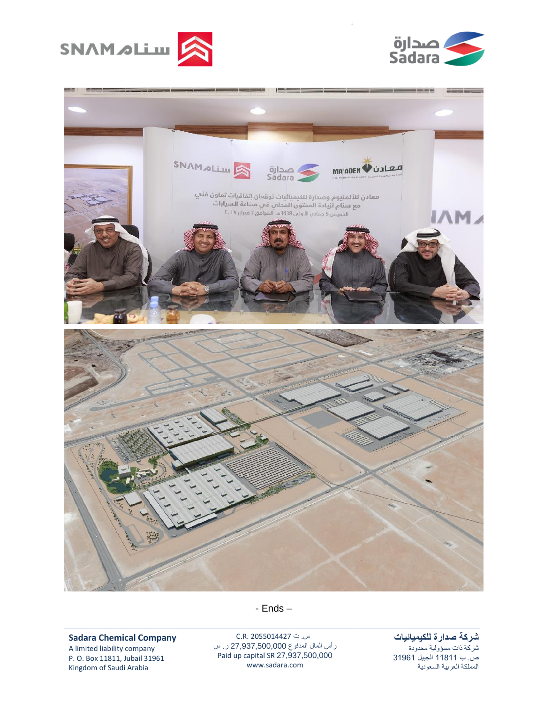





**Sadara Chemical Company**

A limited liability company P. O. Box 11811, Jubail 31961 Kingdom of Saudi Arabia

س. ت C.R. 2055014427 رأس المال المدفوع 27,937,500,000 ر. س Paid up capital SR 27,937,500,000 [www.sadara.com](http://www.sadara.com/)